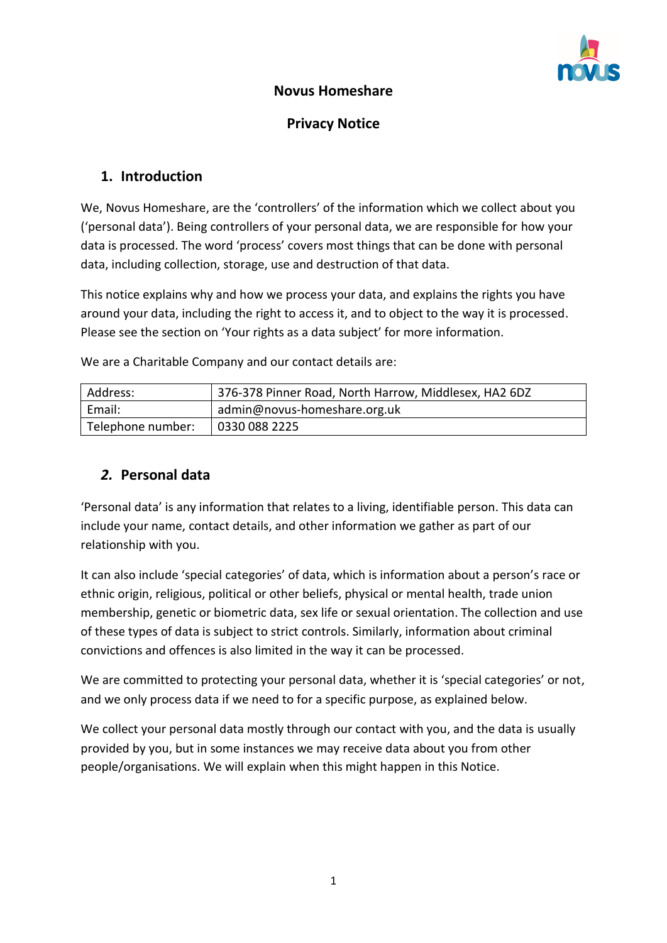

#### **Novus Homeshare**

#### **Privacy Notice**

## **1. Introduction**

We, Novus Homeshare, are the 'controllers' of the information which we collect about you ('personal data'). Being controllers of your personal data, we are responsible for how your data is processed. The word 'process' covers most things that can be done with personal data, including collection, storage, use and destruction of that data.

This notice explains why and how we process your data, and explains the rights you have around your data, including the right to access it, and to object to the way it is processed. Please see the section on 'Your rights as a data subject' for more information.

We are a Charitable Company and our contact details are:

| Address:          | 376-378 Pinner Road, North Harrow, Middlesex, HA2 6DZ |
|-------------------|-------------------------------------------------------|
| Email:            | admin@novus-homeshare.org.uk                          |
| Telephone number: | 0330 088 2225                                         |

### *2.* **Personal data**

'Personal data' is any information that relates to a living, identifiable person. This data can include your name, contact details, and other information we gather as part of our relationship with you.

It can also include 'special categories' of data, which is information about a person's race or ethnic origin, religious, political or other beliefs, physical or mental health, trade union membership, genetic or biometric data, sex life or sexual orientation. The collection and use of these types of data is subject to strict controls. Similarly, information about criminal convictions and offences is also limited in the way it can be processed.

We are committed to protecting your personal data, whether it is 'special categories' or not, and we only process data if we need to for a specific purpose, as explained below.

We collect your personal data mostly through our contact with you, and the data is usually provided by you, but in some instances we may receive data about you from other people/organisations. We will explain when this might happen in this Notice.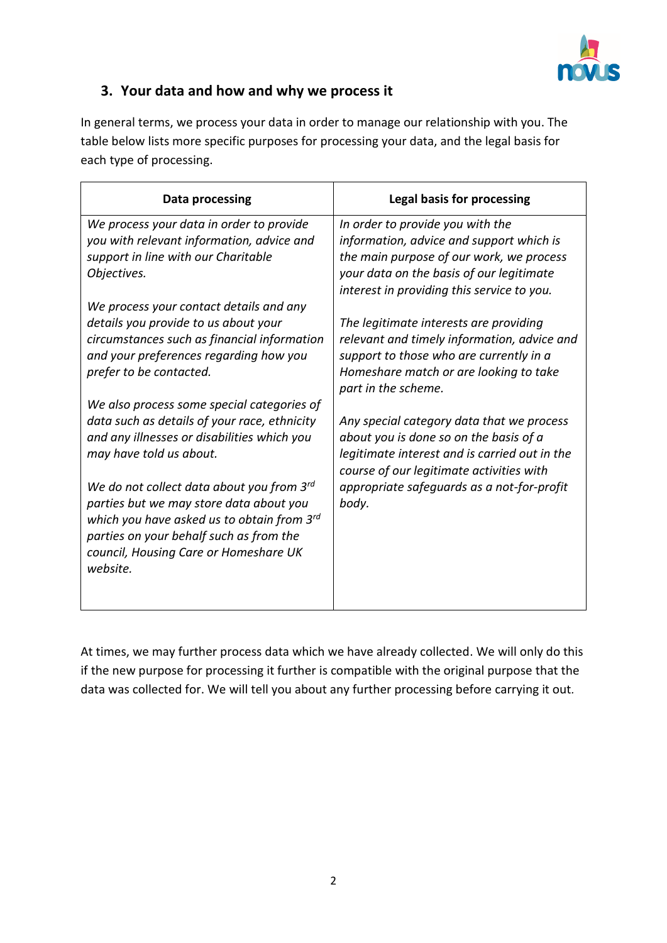

# **3. Your data and how and why we process it**

In general terms, we process your data in order to manage our relationship with you. The table below lists more specific purposes for processing your data, and the legal basis for each type of processing.

| Data processing                                                                                                                                                                                                                              | Legal basis for processing                                                                                                                                                                                         |  |
|----------------------------------------------------------------------------------------------------------------------------------------------------------------------------------------------------------------------------------------------|--------------------------------------------------------------------------------------------------------------------------------------------------------------------------------------------------------------------|--|
| We process your data in order to provide<br>you with relevant information, advice and<br>support in line with our Charitable<br>Objectives.                                                                                                  | In order to provide you with the<br>information, advice and support which is<br>the main purpose of our work, we process<br>your data on the basis of our legitimate<br>interest in providing this service to you. |  |
| We process your contact details and any<br>details you provide to us about your<br>circumstances such as financial information<br>and your preferences regarding how you<br>prefer to be contacted.                                          | The legitimate interests are providing<br>relevant and timely information, advice and<br>support to those who are currently in a<br>Homeshare match or are looking to take<br>part in the scheme.                  |  |
| We also process some special categories of<br>data such as details of your race, ethnicity<br>and any illnesses or disabilities which you<br>may have told us about.                                                                         | Any special category data that we process<br>about you is done so on the basis of a<br>legitimate interest and is carried out in the<br>course of our legitimate activities with                                   |  |
| We do not collect data about you from $3^{rd}$<br>parties but we may store data about you<br>which you have asked us to obtain from $3^{rd}$<br>parties on your behalf such as from the<br>council, Housing Care or Homeshare UK<br>website. | appropriate safeguards as a not-for-profit<br>body.                                                                                                                                                                |  |

At times, we may further process data which we have already collected. We will only do this if the new purpose for processing it further is compatible with the original purpose that the data was collected for. We will tell you about any further processing before carrying it out*.*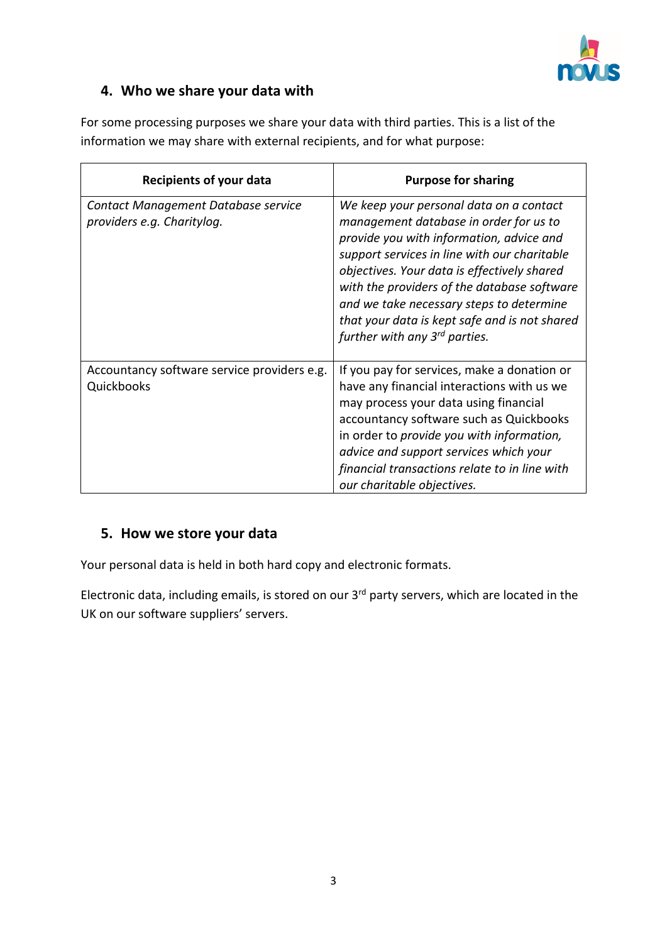

# **4. Who we share your data with**

| <b>Recipients of your data</b>                                    | <b>Purpose for sharing</b>                                                                                                                                                                                                                                                                                                                                                                                            |  |
|-------------------------------------------------------------------|-----------------------------------------------------------------------------------------------------------------------------------------------------------------------------------------------------------------------------------------------------------------------------------------------------------------------------------------------------------------------------------------------------------------------|--|
| Contact Management Database service<br>providers e.g. Charitylog. | We keep your personal data on a contact<br>management database in order for us to<br>provide you with information, advice and<br>support services in line with our charitable<br>objectives. Your data is effectively shared<br>with the providers of the database software<br>and we take necessary steps to determine<br>that your data is kept safe and is not shared<br>further with any 3 <sup>rd</sup> parties. |  |
| Accountancy software service providers e.g.<br>Quickbooks         | If you pay for services, make a donation or<br>have any financial interactions with us we<br>may process your data using financial<br>accountancy software such as Quickbooks<br>in order to provide you with information,<br>advice and support services which your<br>financial transactions relate to in line with<br>our charitable objectives.                                                                   |  |

For some processing purposes we share your data with third parties. This is a list of the information we may share with external recipients, and for what purpose:

## **5. How we store your data**

Your personal data is held in both hard copy and electronic formats.

Electronic data, including emails, is stored on our 3<sup>rd</sup> party servers, which are located in the UK on our software suppliers' servers.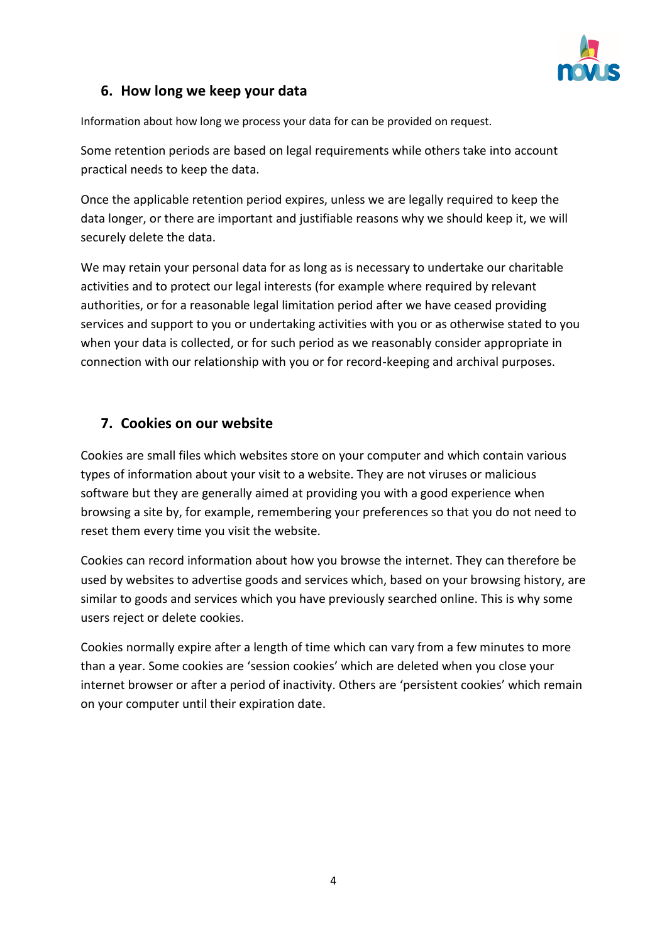

# **6. How long we keep your data**

Information about how long we process your data for can be provided on request.

Some retention periods are based on legal requirements while others take into account practical needs to keep the data.

Once the applicable retention period expires, unless we are legally required to keep the data longer, or there are important and justifiable reasons why we should keep it, we will securely delete the data.

We may retain your personal data for as long as is necessary to undertake our charitable activities and to protect our legal interests (for example where required by relevant authorities, or for a reasonable legal limitation period after we have ceased providing services and support to you or undertaking activities with you or as otherwise stated to you when your data is collected, or for such period as we reasonably consider appropriate in connection with our relationship with you or for record-keeping and archival purposes.

# **7. Cookies on our website**

Cookies are small files which websites store on your computer and which contain various types of information about your visit to a website. They are not viruses or malicious software but they are generally aimed at providing you with a good experience when browsing a site by, for example, remembering your preferences so that you do not need to reset them every time you visit the website.

Cookies can record information about how you browse the internet. They can therefore be used by websites to advertise goods and services which, based on your browsing history, are similar to goods and services which you have previously searched online. This is why some users reject or delete cookies.

Cookies normally expire after a length of time which can vary from a few minutes to more than a year. Some cookies are 'session cookies' which are deleted when you close your internet browser or after a period of inactivity. Others are 'persistent cookies' which remain on your computer until their expiration date.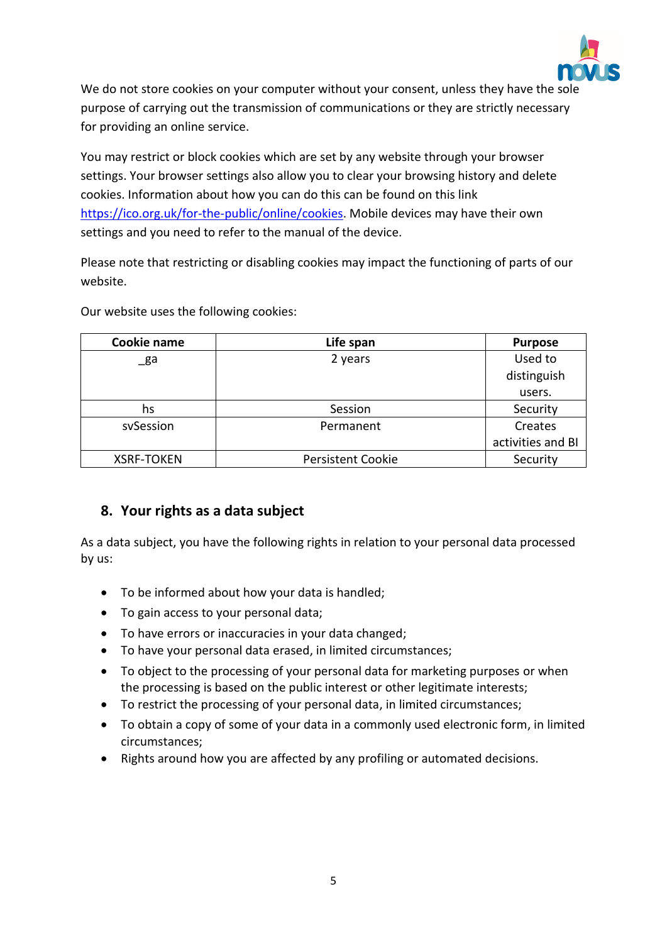

We do not store cookies on your computer without your consent, unless they have the sole purpose of carrying out the transmission of communications or they are strictly necessary for providing an online service.

You may restrict or block cookies which are set by any website through your browser settings. Your browser settings also allow you to clear your browsing history and delete cookies. Information about how you can do this can be found on this link [https://ico.org.uk/for-the-public/online/cookies.](https://ico.org.uk/for-the-public/online/cookies) Mobile devices may have their own settings and you need to refer to the manual of the device.

Please note that restricting or disabling cookies may impact the functioning of parts of our website.

| Cookie name       | Life span                | <b>Purpose</b>    |
|-------------------|--------------------------|-------------------|
| _ga               | 2 years                  | Used to           |
|                   |                          | distinguish       |
|                   |                          | users.            |
| hs                | Session                  | Security          |
| sySession         | Permanent                | Creates           |
|                   |                          | activities and BI |
| <b>XSRF-TOKEN</b> | <b>Persistent Cookie</b> | Security          |

Our website uses the following cookies:

### **8. Your rights as a data subject**

As a data subject, you have the following rights in relation to your personal data processed by us:

- To be informed about how your data is handled;
- To gain access to your personal data;
- To have errors or inaccuracies in your data changed;
- To have your personal data erased, in limited circumstances;
- To object to the processing of your personal data for marketing purposes or when the processing is based on the public interest or other legitimate interests;
- To restrict the processing of your personal data, in limited circumstances;
- To obtain a copy of some of your data in a commonly used electronic form, in limited circumstances;
- Rights around how you are affected by any profiling or automated decisions.